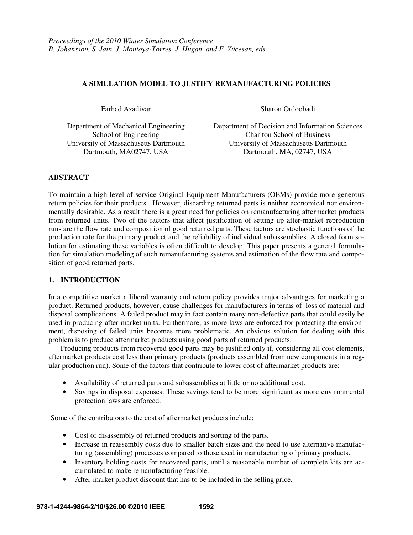# **A SIMULATION MODEL TO JUSTIFY REMANUFACTURING POLICIES**

Farhad Azadivar Sharon Ordoobadi

Department of Mechanical Engineering Department of Decision and Information Sciences School of Engineering Charlton School of Business University of Massachusetts Dartmouth<br>Dartmouth, MA02747, USA<br>Dartmouth, MA02747, USA<br>Dartmouth, MA02747, USA Dartmouth, MA, 02747, USA

## **ABSTRACT**

To maintain a high level of service Original Equipment Manufacturers (OEMs) provide more generous return policies for their products. However, discarding returned parts is neither economical nor environmentally desirable. As a result there is a great need for policies on remanufacturing aftermarket products from returned units. Two of the factors that affect justification of setting up after-market reproduction runs are the flow rate and composition of good returned parts. These factors are stochastic functions of the production rate for the primary product and the reliability of individual subassemblies. A closed form solution for estimating these variables is often difficult to develop. This paper presents a general formulation for simulation modeling of such remanufacturing systems and estimation of the flow rate and composition of good returned parts.

# **1. INTRODUCTION**

In a competitive market a liberal warranty and return policy provides major advantages for marketing a product. Returned products, however, cause challenges for manufacturers in terms of loss of material and disposal complications. A failed product may in fact contain many non-defective parts that could easily be used in producing after-market units. Furthermore, as more laws are enforced for protecting the environment, disposing of failed units becomes more problematic. An obvious solution for dealing with this problem is to produce aftermarket products using good parts of returned products.

 Producing products from recovered good parts may be justified only if, considering all cost elements, aftermarket products cost less than primary products (products assembled from new components in a regular production run). Some of the factors that contribute to lower cost of aftermarket products are:

- Availability of returned parts and subassemblies at little or no additional cost.
- Savings in disposal expenses. These savings tend to be more significant as more environmental protection laws are enforced.

Some of the contributors to the cost of aftermarket products include:

- Cost of disassembly of returned products and sorting of the parts.
- Increase in reassembly costs due to smaller batch sizes and the need to use alternative manufacturing (assembling) processes compared to those used in manufacturing of primary products.
- Inventory holding costs for recovered parts, until a reasonable number of complete kits are accumulated to make remanufacturing feasible.
- After-market product discount that has to be included in the selling price.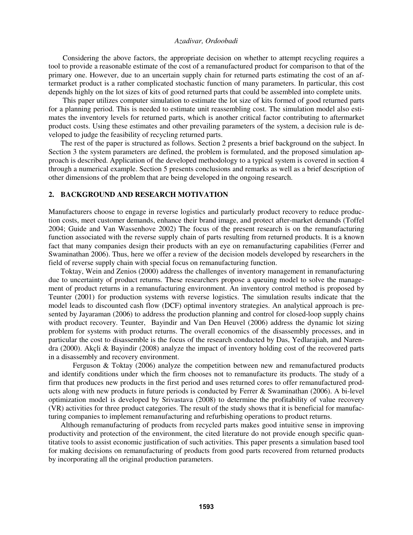Considering the above factors, the appropriate decision on whether to attempt recycling requires a tool to provide a reasonable estimate of the cost of a remanufactured product for comparison to that of the primary one. However, due to an uncertain supply chain for returned parts estimating the cost of an aftermarket product is a rather complicated stochastic function of many parameters. In particular, this cost depends highly on the lot sizes of kits of good returned parts that could be assembled into complete units.

This paper utilizes computer simulation to estimate the lot size of kits formed of good returned parts for a planning period. This is needed to estimate unit reassembling cost. The simulation model also estimates the inventory levels for returned parts, which is another critical factor contributing to aftermarket product costs. Using these estimates and other prevailing parameters of the system, a decision rule is developed to judge the feasibility of recycling returned parts.

 The rest of the paper is structured as follows. Section 2 presents a brief background on the subject. In Section 3 the system parameters are defined, the problem is formulated, and the proposed simulation approach is described. Application of the developed methodology to a typical system is covered in section 4 through a numerical example. Section 5 presents conclusions and remarks as well as a brief description of other dimensions of the problem that are being developed in the ongoing research.

### **2. BACKGROUND AND RESEARCH MOTIVATION**

Manufacturers choose to engage in reverse logistics and particularly product recovery to reduce production costs, meet customer demands, enhance their brand image, and protect after-market demands (Toffel 2004; Guide and Van Wassenhove 2002) The focus of the present research is on the remanufacturing function associated with the reverse supply chain of parts resulting from returned products. It is a known fact that many companies design their products with an eye on remanufacturing capabilities (Ferrer and Swaminathan 2006). Thus, here we offer a review of the decision models developed by researchers in the field of reverse supply chain with special focus on remanufacturing function.

 Toktay, Wein and Zenios (2000) address the challenges of inventory management in remanufacturing due to uncertainty of product returns. These researchers propose a queuing model to solve the management of product returns in a remanufacturing environment. An inventory control method is proposed by Teunter (2001) for production systems with reverse logistics. The simulation results indicate that the model leads to discounted cash flow (DCF) optimal inventory strategies. An analytical approach is presented by Jayaraman (2006) to address the production planning and control for closed-loop supply chains with product recovery. Teunter, Bayindir and Van Den Heuvel (2006) address the dynamic lot sizing problem for systems with product returns. The overall economics of the disassembly processes, and in particular the cost to disassemble is the focus of the research conducted by Das, Yedlarajiah, and Narendra (2000). Akçli & Bayindir (2008) analyze the impact of inventory holding cost of the recovered parts in a disassembly and recovery environment.

 Ferguson & Toktay (2006) analyze the competition between new and remanufactured products and identify conditions under which the firm chooses not to remanufacture its products. The study of a firm that produces new products in the first period and uses returned cores to offer remanufactured products along with new products in future periods is conducted by Ferrer & Swaminathan (2006). A bi-level optimization model is developed by Srivastava (2008) to determine the profitability of value recovery (VR) activities for three product categories. The result of the study shows that it is beneficial for manufacturing companies to implement remanufacturing and refurbishing operations to product returns.

 Although remanufacturing of products from recycled parts makes good intuitive sense in improving productivity and protection of the environment, the cited literature do not provide enough specific quantitative tools to assist economic justification of such activities. This paper presents a simulation based tool for making decisions on remanufacturing of products from good parts recovered from returned products by incorporating all the original production parameters.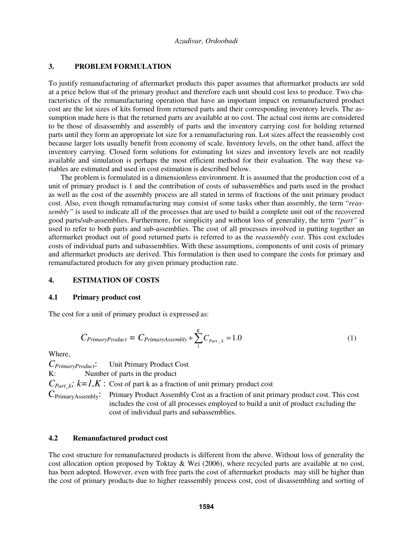### **3. PROBLEM FORMULATION**

To justify remanufacturing of aftermarket products this paper assumes that aftermarket products are sold at a price below that of the primary product and therefore each unit should cost less to produce. Two characteristics of the remanufacturing operation that have an important impact on remanufactured product cost are the lot sizes of kits formed from returned parts and their corresponding inventory levels. The assumption made here is that the returned parts are available at no cost. The actual cost items are considered to be those of disassembly and assembly of parts and the inventory carrying cost for holding returned parts until they form an appropriate lot size for a remanufacturing run. Lot sizes affect the reassembly cost because larger lots usually benefit from economy of scale. Inventory levels, on the other hand, affect the inventory carrying. Closed form solutions for estimating lot sizes and inventory levels are not readily available and simulation is perhaps the most efficient method for their evaluation. The way these variables are estimated and used in cost estimation is described below.

 The problem is formulated in a dimensionless environment. It is assumed that the production cost of a unit of primary product is 1 and the contribution of costs of subassemblies and parts used in the product as well as the cost of the assembly process are all stated in terms of fractions of the unit primary product cost. Also, even though remanufacturing may consist of some tasks other than assembly, the term "*reassembly"* is used to indicate all of the processes that are used to build a complete unit out of the recovered good parts/sub-assemblies. Furthermore, for simplicity and without loss of generality, the term *"part"* is used to refer to both parts and sub-assemblies. The cost of all processes involved in putting together an aftermarket product out of good returned parts is referred to as the *reassembly cost*. This cost excludes costs of individual parts and subassemblies. With these assumptions, components of unit costs of primary and aftermarket products are derived. This formulation is then used to compare the costs for primary and remanufactured products for any given primary production rate.

### **4. ESTIMATION OF COSTS**

### **4.1 Primary product cost**

The cost for a unit of primary product is expressed as:

$$
C_{PrimaryProduct} = C_{Primary Assembly} + \sum_{1}^{K} C_{Part_{k}} = 1.0
$$
\n(1)

Where,

*CPrimaryProduct*: Unit Primary Product Cost

K: Number of parts in the product

 $C_{Part\, k}$ ;  $k=1, K$  : Cost of part k as a fraction of unit primary product cost

CPrimaryAssembly: Primary Product Assembly Cost as a fraction of unit primary product cost. This cost includes the cost of all processes employed to build a unit of product excluding the cost of individual parts and subassemblies.

## **4.2 Remanufactured product cost**

The cost structure for remanufactured products is different from the above. Without loss of generality the cost allocation option proposed by Toktay & Wei (2006), where recycled parts are available at no cost, has been adopted. However, even with free parts the cost of aftermarket products may still be higher than the cost of primary products due to higher reassembly process cost, cost of disassembling and sorting of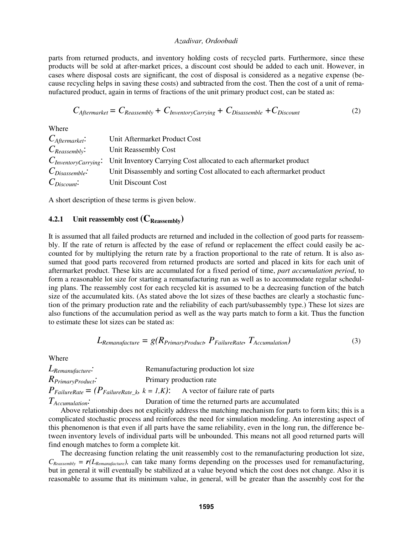parts from returned products, and inventory holding costs of recycled parts. Furthermore, since these products will be sold at after-market prices, a discount cost should be added to each unit. However, in cases where disposal costs are significant, the cost of disposal is considered as a negative expense (because recycling helps in saving these costs) and subtracted from the cost. Then the cost of a unit of remanufactured product, again in terms of fractions of the unit primary product cost, can be stated as:

$$
C_{Aftermarket} = C_{Reasonbly} + C_{InventoryCarrying} + C_{Disassemble} + C_{Discount}
$$
 (2)

Where

| $C_{Aftermarket}$ :       | Unit Aftermarket Product Cost                                                                |
|---------------------------|----------------------------------------------------------------------------------------------|
| $C_{\text{Reassembly}}$ : | Unit Reassembly Cost                                                                         |
|                           | $C_{InventoryCarrying}$ . Unit Inventory Carrying Cost allocated to each aftermarket product |
| $C_{Disassemble}$ :       | Unit Disassembly and sorting Cost allocated to each aftermarket product                      |
| $C_{Discount}$ :          | Unit Discount Cost                                                                           |

A short description of these terms is given below.

## **4.2.1 Unit reassembly cost (** $C_{\text{Reassembly}}$ **)**

It is assumed that all failed products are returned and included in the collection of good parts for reassembly. If the rate of return is affected by the ease of refund or replacement the effect could easily be accounted for by multiplying the return rate by a fraction proportional to the rate of return. It is also assumed that good parts recovered from returned products are sorted and placed in kits for each unit of aftermarket product. These kits are accumulated for a fixed period of time, *part accumulation period*, to form a reasonable lot size for starting a remanufacturing run as well as to accommodate regular scheduling plans. The reassembly cost for each recycled kit is assumed to be a decreasing function of the batch size of the accumulated kits. (As stated above the lot sizes of these bacthes are clearly a stochastic function of the primary production rate and the reliability of each part/subassembly type.) These lot sizes are also functions of the accumulation period as well as the way parts match to form a kit. Thus the function to estimate these lot sizes can be stated as:

$$
L_{Remanufacture} = g(R_{PrimaryProduct}, P_{FailureRate}, T_{Accumulation})
$$
\n(3)

**Where** 

| $L_{Remanufacture}$ : | Remanufacturing production lot size                                                                                 |  |  |
|-----------------------|---------------------------------------------------------------------------------------------------------------------|--|--|
| $R_{PrimaryProduct}$  | Primary production rate                                                                                             |  |  |
|                       | $P_{\textit{FailureRate}} = (P_{\textit{FailureRate}\_\mathit{k}}, \ k = 1, K)$ : A vector of failure rate of parts |  |  |
| $T_{Accumulation}$ :  | Duration of time the returned parts are accumulated                                                                 |  |  |
|                       |                                                                                                                     |  |  |

 Above relationship does not explicitly address the matching mechanism for parts to form kits; this is a complicated stochastic process and reinforces the need for simulation modeling. An interesting aspect of this phenomenon is that even if all parts have the same reliability, even in the long run, the difference between inventory levels of individual parts will be unbounded. This means not all good returned parts will find enough matches to form a complete kit.

 The decreasing function relating the unit reassembly cost to the remanufacturing production lot size,  $C_{\text{Reassembly}} = r(L_{\text{Remanufacture}})$ , can take many forms depending on the processes used for remanufacturing, but in general it will eventually be stabilized at a value beyond which the cost does not change. Also it is reasonable to assume that its minimum value, in general, will be greater than the assembly cost for the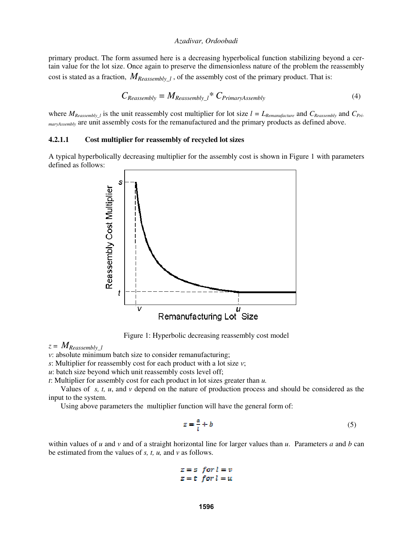primary product. The form assumed here is a decreasing hyperbolical function stabilizing beyond a certain value for the lot size. Once again to preserve the dimensionless nature of the problem the reassembly cost is stated as a fraction,  $M_{Reasonblv}$ , of the assembly cost of the primary product. That is:

$$
C_{Reassembly} = M_{Reassembly\_l} * C_{Primary Assembly} \tag{4}
$$

where  $M_{Reasonbly\_l}$  is the unit reassembly cost multiplier for lot size  $l = L_{Remanufacture}$  and  $C_{Reasonbly}$  and  $C_{Pri}$ *maryAssembly* are unit assembly costs for the remanufactured and the primary products as defined above.

### **4.2.1.1 Cost multiplier for reassembly of recycled lot sizes**

A typical hyperbolically decreasing multiplier for the assembly cost is shown in Figure 1 with parameters defined as follows:



Figure 1: Hyperbolic decreasing reassembly cost model

 $z = M_{\text{Reassembly } l}$ 

*v*: absolute minimum batch size to consider remanufacturing;

*s*: Multiplier for reassembly cost for each product with a lot size *v*;

*u*: batch size beyond which unit reassembly costs level off;

*t*: Multiplier for assembly cost for each product in lot sizes greater than *u.* 

 Values of *s, t, u*, and *v* depend on the nature of production process and should be considered as the input to the system.

Using above parameters the multiplier function will have the general form of:

$$
z = \frac{a}{l} + b \tag{5}
$$

within values of *u* and *v* and of a straight horizontal line for larger values than *u*. Parameters *a* and *b* can be estimated from the values of *s, t, u,* and *v* as follows.

$$
z = s \quad \text{for } l = v
$$
\n
$$
z = t \quad \text{for } l = u
$$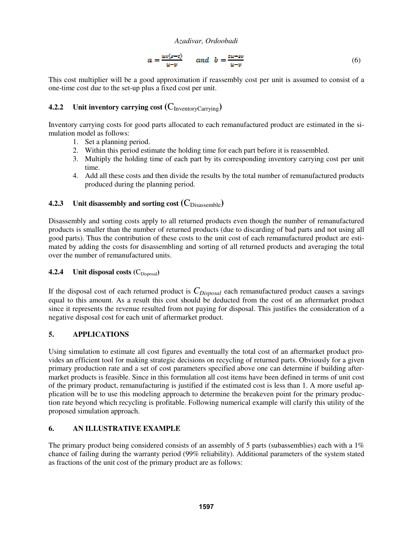$$
a = \frac{uw(s-t)}{u-v} \qquad and \quad b = \frac{tu-sv}{u-v} \tag{6}
$$

This cost multiplier will be a good approximation if reassembly cost per unit is assumed to consist of a one-time cost due to the set-up plus a fixed cost per unit.

# **4.2.2** Unit inventory carrying cost (C<sub>InventoryCarrying</sub>)

Inventory carrying costs for good parts allocated to each remanufactured product are estimated in the simulation model as follows:

- 1. Set a planning period.
- 2. Within this period estimate the holding time for each part before it is reassembled.
- 3. Multiply the holding time of each part by its corresponding inventory carrying cost per unit time.
- 4. Add all these costs and then divide the results by the total number of remanufactured products produced during the planning period.

# **4.2.3** Unit disassembly and sorting cost  $(C_{\text{Dissasemble}})$

Disassembly and sorting costs apply to all returned products even though the number of remanufactured products is smaller than the number of returned products (due to discarding of bad parts and not using all good parts). Thus the contribution of these costs to the unit cost of each remanufactured product are estimated by adding the costs for disassembling and sorting of all returned products and averaging the total over the number of remanufactured units.

# **4.2.4** Unit disposal costs (C<sub>Disposal</sub>)

If the disposal cost of each returned product is  $C_{Disposal}$  each remanufactured product causes a savings equal to this amount. As a result this cost should be deducted from the cost of an aftermarket product since it represents the revenue resulted from not paying for disposal. This justifies the consideration of a negative disposal cost for each unit of aftermarket product.

# **5. APPLICATIONS**

Using simulation to estimate all cost figures and eventually the total cost of an aftermarket product provides an efficient tool for making strategic decisions on recycling of returned parts. Obviously for a given primary production rate and a set of cost parameters specified above one can determine if building aftermarket products is feasible. Since in this formulation all cost items have been defined in terms of unit cost of the primary product, remanufacturing is justified if the estimated cost is less than 1. A more useful application will be to use this modeling approach to determine the breakeven point for the primary production rate beyond which recycling is profitable. Following numerical example will clarify this utility of the proposed simulation approach.

# **6. AN ILLUSTRATIVE EXAMPLE**

The primary product being considered consists of an assembly of 5 parts (subassemblies) each with a  $1\%$ chance of failing during the warranty period (99% reliability). Additional parameters of the system stated as fractions of the unit cost of the primary product are as follows: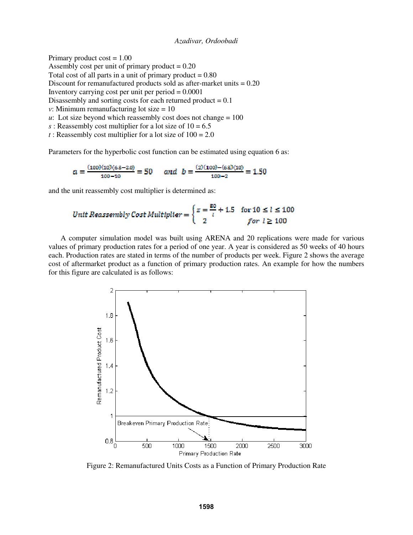Primary product  $cost = 1.00$ Assembly cost per unit of primary product  $= 0.20$ Total cost of all parts in a unit of primary product  $= 0.80$ Discount for remanufactured products sold as after-market units  $= 0.20$ Inventory carrying cost per unit per period  $= 0.0001$ Disassembly and sorting costs for each returned product  $= 0.1$ *v*: Minimum remanufacturing lot size = 10 *u*: Lot size beyond which reassembly cost does not change  $= 100$  $s$ : Reassembly cost multiplier for a lot size of  $10 = 6.5$ *t* : Reassembly cost multiplier for a lot size of  $100 = 2.0$ 

Parameters for the hyperbolic cost function can be estimated using equation 6 as:

$$
a = \frac{(100)(10)(6.5 - 2.0)}{100 - 10} = 50 \quad and \quad b = \frac{(2)(100) - (6.5)(10)}{100 - 2} = 1.50
$$

and the unit reassembly cost multiplier is determined as:

Unit Reasonably Cost Multiplier = 
$$
\begin{cases} z = \frac{50}{l} + 1.5 & \text{for } 10 \le l \le 100 \\ 2 & \text{for } l \ge 100 \end{cases}
$$

 A computer simulation model was built using ARENA and 20 replications were made for various values of primary production rates for a period of one year. A year is considered as 50 weeks of 40 hours each. Production rates are stated in terms of the number of products per week. Figure 2 shows the average cost of aftermarket product as a function of primary production rates. An example for how the numbers for this figure are calculated is as follows:



Figure 2: Remanufactured Units Costs as a Function of Primary Production Rate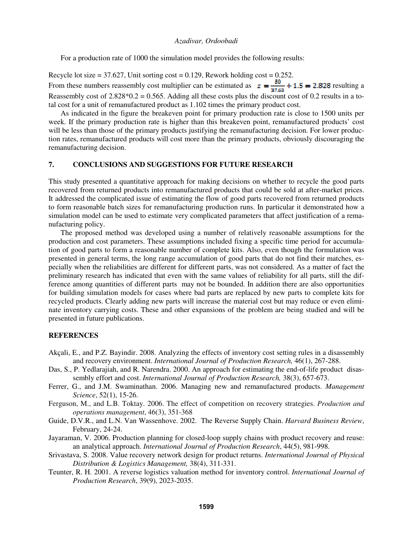For a production rate of 1000 the simulation model provides the following results:

Recycle lot size = 37.627, Unit sorting cost =  $0.129$ , Rework holding cost = 0.252.

From these numbers reassembly cost multiplier can be estimated as  $z = \frac{50}{37.63} + 1.5 = 2.828$  resulting a Reassembly cost of  $2.828*0.2 = 0.565$ . Adding all these costs plus the discount cost of 0.2 results in a total cost for a unit of remanufactured product as 1.102 times the primary product cost.

 As indicated in the figure the breakeven point for primary production rate is close to 1500 units per week. If the primary production rate is higher than this breakeven point, remanufactured products' cost will be less than those of the primary products justifying the remanufacturing decision. For lower production rates, remanufactured products will cost more than the primary products, obviously discouraging the remanufacturing decision.

### **7. CONCLUSIONS AND SUGGESTIONS FOR FUTURE RESEARCH**

This study presented a quantitative approach for making decisions on whether to recycle the good parts recovered from returned products into remanufactured products that could be sold at after-market prices. It addressed the complicated issue of estimating the flow of good parts recovered from returned products to form reasonable batch sizes for remanufacturing production runs. In particular it demonstrated how a simulation model can be used to estimate very complicated parameters that affect justification of a remanufacturing policy.

 The proposed method was developed using a number of relatively reasonable assumptions for the production and cost parameters. These assumptions included fixing a specific time period for accumulation of good parts to form a reasonable number of complete kits. Also, even though the formulation was presented in general terms, the long range accumulation of good parts that do not find their matches, especially when the reliabilities are different for different parts, was not considered. As a matter of fact the preliminary research has indicated that even with the same values of reliability for all parts, still the difference among quantities of different parts may not be bounded. In addition there are also opportunities for building simulation models for cases where bad parts are replaced by new parts to complete kits for recycled products. Clearly adding new parts will increase the material cost but may reduce or even eliminate inventory carrying costs. These and other expansions of the problem are being studied and will be presented in future publications.

#### **REFERENCES**

- Akçali, E., and P.Z. Bayindir. 2008. Analyzing the effects of inventory cost setting rules in a disassembly and recovery environment. *International Journal of Production Research,* 46(1), 267-288.
- Das, S., P. Yedlarajiah, and R. Narendra. 2000. An approach for estimating the end-of-life product disassembly effort and cost. *International Journal of Production Research,* 38(3), 657-673.
- Ferrer, G., and J.M. Swaminathan. 2006. Managing new and remanufactured products. *Management Science*, 52(1), 15-26.
- Ferguson, M., and L.B. Toktay. 2006. The effect of competition on recovery strategies. *Production and operations management*, 46(3), 351-368
- Guide, D.V.R., and L.N. Van Wassenhove. 2002. The Reverse Supply Chain. *Harvard Business Review*, February, 24-24.
- Jayaraman, V. 2006. Production planning for closed-loop supply chains with product recovery and reuse: an analytical approach. *International Journal of Production Research*, 44(5), 981-998.
- Srivastava, S. 2008. Value recovery network design for product returns. *International Journal of Physical Distribution & Logistics Management,* 38(4), 311-331.
- Teunter, R. H. 2001. A reverse logistics valuation method for inventory control. *International Journal of Production Research*, 39(9), 2023-2035.